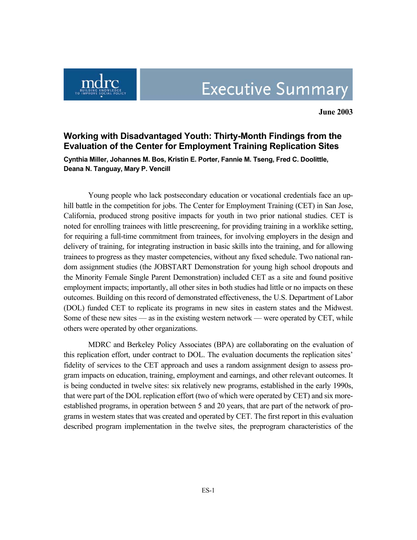

**June 2003** 

## **Working with Disadvantaged Youth: Thirty-Month Findings from the Evaluation of the Center for Employment Training Replication Sites**

**Cynthia Miller, Johannes M. Bos, Kristin E. Porter, Fannie M. Tseng, Fred C. Doolittle, Deana N. Tanguay, Mary P. Vencill**

Young people who lack postsecondary education or vocational credentials face an uphill battle in the competition for jobs. The Center for Employment Training (CET) in San Jose, California, produced strong positive impacts for youth in two prior national studies. CET is noted for enrolling trainees with little prescreening, for providing training in a worklike setting, for requiring a full-time commitment from trainees, for involving employers in the design and delivery of training, for integrating instruction in basic skills into the training, and for allowing trainees to progress as they master competencies, without any fixed schedule. Two national random assignment studies (the JOBSTART Demonstration for young high school dropouts and the Minority Female Single Parent Demonstration) included CET as a site and found positive employment impacts; importantly, all other sites in both studies had little or no impacts on these outcomes. Building on this record of demonstrated effectiveness, the U.S. Department of Labor (DOL) funded CET to replicate its programs in new sites in eastern states and the Midwest. Some of these new sites — as in the existing western network — were operated by CET, while others were operated by other organizations.

MDRC and Berkeley Policy Associates (BPA) are collaborating on the evaluation of this replication effort, under contract to DOL. The evaluation documents the replication sites' fidelity of services to the CET approach and uses a random assignment design to assess program impacts on education, training, employment and earnings, and other relevant outcomes. It is being conducted in twelve sites: six relatively new programs, established in the early 1990s, that were part of the DOL replication effort (two of which were operated by CET) and six moreestablished programs, in operation between 5 and 20 years, that are part of the network of programs in western states that was created and operated by CET. The first report in this evaluation described program implementation in the twelve sites, the preprogram characteristics of the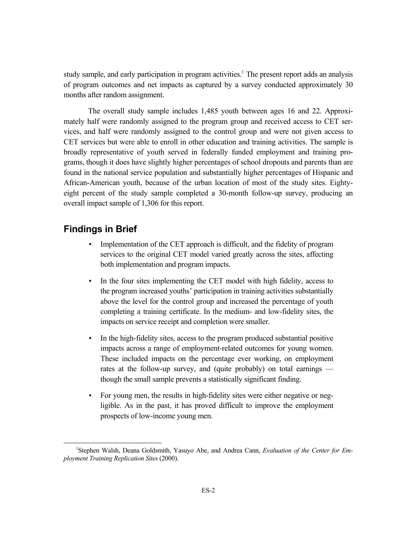study sample, and early participation in program activities.<sup>1</sup> The present report adds an analysis of program outcomes and net impacts as captured by a survey conducted approximately 30 months after random assignment.

The overall study sample includes 1,485 youth between ages 16 and 22. Approximately half were randomly assigned to the program group and received access to CET services, and half were randomly assigned to the control group and were not given access to CET services but were able to enroll in other education and training activities. The sample is broadly representative of youth served in federally funded employment and training programs, though it does have slightly higher percentages of school dropouts and parents than are found in the national service population and substantially higher percentages of Hispanic and African-American youth, because of the urban location of most of the study sites. Eightyeight percent of the study sample completed a 30-month follow-up survey, producing an overall impact sample of 1,306 for this report.

## **Findings in Brief**

- Implementation of the CET approach is difficult, and the fidelity of program services to the original CET model varied greatly across the sites, affecting both implementation and program impacts.
- In the four sites implementing the CET model with high fidelity, access to the program increased youths' participation in training activities substantially above the level for the control group and increased the percentage of youth completing a training certificate. In the medium- and low-fidelity sites, the impacts on service receipt and completion were smaller.
- In the high-fidelity sites, access to the program produced substantial positive impacts across a range of employment-related outcomes for young women. These included impacts on the percentage ever working, on employment rates at the follow-up survey, and (quite probably) on total earnings though the small sample prevents a statistically significant finding.
- For young men, the results in high-fidelity sites were either negative or negligible. As in the past, it has proved difficult to improve the employment prospects of low-income young men.

 $\frac{1}{1}$ Stephen Walsh, Deana Goldsmith, Yasuyo Abe, and Andrea Cann, *Evaluation of the Center for Employment Training Replication Sites* (2000).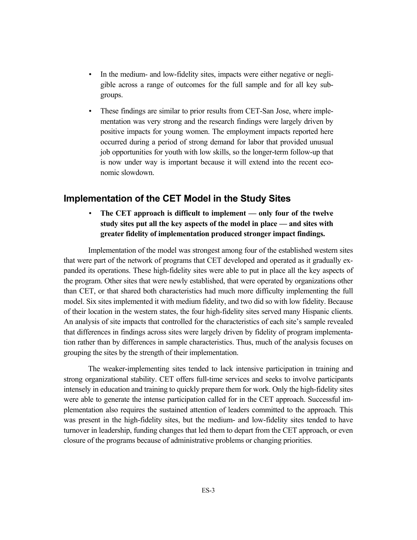- In the medium- and low-fidelity sites, impacts were either negative or negligible across a range of outcomes for the full sample and for all key subgroups.
- These findings are similar to prior results from CET-San Jose, where implementation was very strong and the research findings were largely driven by positive impacts for young women. The employment impacts reported here occurred during a period of strong demand for labor that provided unusual job opportunities for youth with low skills, so the longer-term follow-up that is now under way is important because it will extend into the recent economic slowdown.

## **Implementation of the CET Model in the Study Sites**

• **The CET approach is difficult to implement — only four of the twelve study sites put all the key aspects of the model in place — and sites with greater fidelity of implementation produced stronger impact findings.** 

Implementation of the model was strongest among four of the established western sites that were part of the network of programs that CET developed and operated as it gradually expanded its operations. These high-fidelity sites were able to put in place all the key aspects of the program. Other sites that were newly established, that were operated by organizations other than CET, or that shared both characteristics had much more difficulty implementing the full model. Six sites implemented it with medium fidelity, and two did so with low fidelity. Because of their location in the western states, the four high-fidelity sites served many Hispanic clients. An analysis of site impacts that controlled for the characteristics of each site's sample revealed that differences in findings across sites were largely driven by fidelity of program implementation rather than by differences in sample characteristics. Thus, much of the analysis focuses on grouping the sites by the strength of their implementation.

The weaker-implementing sites tended to lack intensive participation in training and strong organizational stability. CET offers full-time services and seeks to involve participants intensely in education and training to quickly prepare them for work. Only the high-fidelity sites were able to generate the intense participation called for in the CET approach. Successful implementation also requires the sustained attention of leaders committed to the approach. This was present in the high-fidelity sites, but the medium- and low-fidelity sites tended to have turnover in leadership, funding changes that led them to depart from the CET approach, or even closure of the programs because of administrative problems or changing priorities.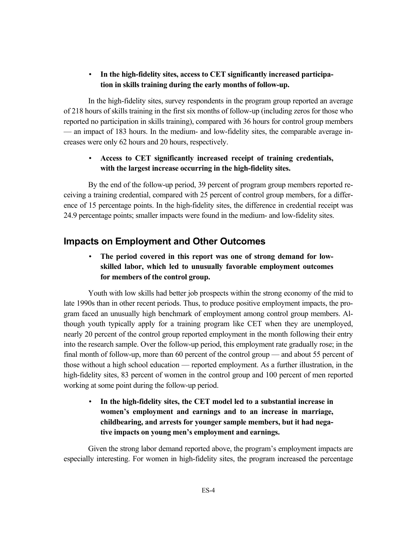#### • **In the high-fidelity sites, access to CET significantly increased participation in skills training during the early months of follow-up.**

In the high-fidelity sites, survey respondents in the program group reported an average of 218 hours of skills training in the first six months of follow-up (including zeros for those who reported no participation in skills training), compared with 36 hours for control group members — an impact of 183 hours. In the medium- and low-fidelity sites, the comparable average increases were only 62 hours and 20 hours, respectively.

#### • **Access to CET significantly increased receipt of training credentials, with the largest increase occurring in the high-fidelity sites.**

By the end of the follow-up period, 39 percent of program group members reported receiving a training credential, compared with 25 percent of control group members, for a difference of 15 percentage points. In the high-fidelity sites, the difference in credential receipt was 24.9 percentage points; smaller impacts were found in the medium- and low-fidelity sites.

# **Impacts on Employment and Other Outcomes**

## • **The period covered in this report was one of strong demand for lowskilled labor, which led to unusually favorable employment outcomes for members of the control group.**

Youth with low skills had better job prospects within the strong economy of the mid to late 1990s than in other recent periods. Thus, to produce positive employment impacts, the program faced an unusually high benchmark of employment among control group members. Although youth typically apply for a training program like CET when they are unemployed, nearly 20 percent of the control group reported employment in the month following their entry into the research sample. Over the follow-up period, this employment rate gradually rose; in the final month of follow-up, more than 60 percent of the control group — and about 55 percent of those without a high school education — reported employment. As a further illustration, in the high-fidelity sites, 83 percent of women in the control group and 100 percent of men reported working at some point during the follow-up period.

• **In the high-fidelity sites, the CET model led to a substantial increase in women's employment and earnings and to an increase in marriage, childbearing, and arrests for younger sample members, but it had negative impacts on young men's employment and earnings.** 

Given the strong labor demand reported above, the program's employment impacts are especially interesting. For women in high-fidelity sites, the program increased the percentage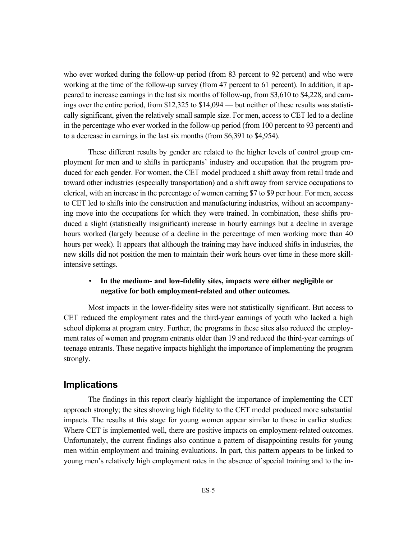who ever worked during the follow-up period (from 83 percent to 92 percent) and who were working at the time of the follow-up survey (from 47 percent to 61 percent). In addition, it appeared to increase earnings in the last six months of follow-up, from \$3,610 to \$4,228, and earnings over the entire period, from \$12,325 to \$14,094 — but neither of these results was statistically significant, given the relatively small sample size. For men, access to CET led to a decline in the percentage who ever worked in the follow-up period (from 100 percent to 93 percent) and to a decrease in earnings in the last six months (from \$6,391 to \$4,954).

These different results by gender are related to the higher levels of control group employment for men and to shifts in particpants' industry and occupation that the program produced for each gender. For women, the CET model produced a shift away from retail trade and toward other industries (especially transportation) and a shift away from service occupations to clerical, with an increase in the percentage of women earning \$7 to \$9 per hour. For men, access to CET led to shifts into the construction and manufacturing industries, without an accompanying move into the occupations for which they were trained. In combination, these shifts produced a slight (statistically insignificant) increase in hourly earnings but a decline in average hours worked (largely because of a decline in the percentage of men working more than 40 hours per week). It appears that although the training may have induced shifts in industries, the new skills did not position the men to maintain their work hours over time in these more skillintensive settings.

#### • **In the medium- and low-fidelity sites, impacts were either negligible or negative for both employment-related and other outcomes.**

Most impacts in the lower-fidelity sites were not statistically significant. But access to CET reduced the employment rates and the third-year earnings of youth who lacked a high school diploma at program entry. Further, the programs in these sites also reduced the employment rates of women and program entrants older than 19 and reduced the third-year earnings of teenage entrants. These negative impacts highlight the importance of implementing the program strongly.

#### **Implications**

The findings in this report clearly highlight the importance of implementing the CET approach strongly; the sites showing high fidelity to the CET model produced more substantial impacts. The results at this stage for young women appear similar to those in earlier studies: Where CET is implemented well, there are positive impacts on employment-related outcomes. Unfortunately, the current findings also continue a pattern of disappointing results for young men within employment and training evaluations. In part, this pattern appears to be linked to young men's relatively high employment rates in the absence of special training and to the in